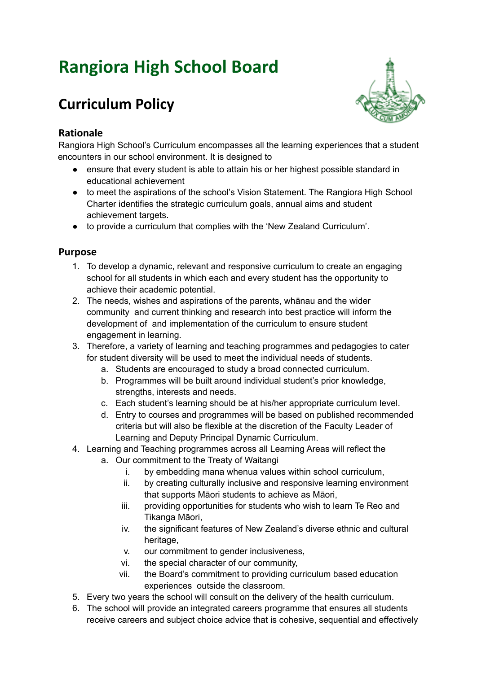# **Rangiora High School Board**

## **Curriculum Policy**

### **Rationale**

Rangiora High School's Curriculum encompasses all the learning experiences that a student encounters in our school environment. It is designed to

- ensure that every student is able to attain his or her highest possible standard in educational achievement
- to meet the aspirations of the school's Vision Statement. The Rangiora High School Charter identifies the strategic curriculum goals, annual aims and student achievement targets.
- to provide a curriculum that complies with the 'New Zealand Curriculum'.

#### **Purpose**

- 1. To develop a dynamic, relevant and responsive curriculum to create an engaging school for all students in which each and every student has the opportunity to achieve their academic potential.
- 2. The needs, wishes and aspirations of the parents, whānau and the wider community and current thinking and research into best practice will inform the development of and implementation of the curriculum to ensure student engagement in learning.
- 3. Therefore, a variety of learning and teaching programmes and pedagogies to cater for student diversity will be used to meet the individual needs of students.
	- a. Students are encouraged to study a broad connected curriculum.
	- b. Programmes will be built around individual student's prior knowledge, strengths, interests and needs.
	- c. Each student's learning should be at his/her appropriate curriculum level.
	- d. Entry to courses and programmes will be based on published recommended criteria but will also be flexible at the discretion of the Faculty Leader of Learning and Deputy Principal Dynamic Curriculum.
- 4. Learning and Teaching programmes across all Learning Areas will reflect the a. Our commitment to the Treaty of Waitangi
	- - i. by embedding mana whenua values within school curriculum,
		- ii. by creating culturally inclusive and responsive learning environment that supports Māori students to achieve as Māori,
		- iii. providing opportunities for students who wish to learn Te Reo and Tikanga Māori,
		- iv. the significant features of New Zealand's diverse ethnic and cultural heritage.
		- v. our commitment to gender inclusiveness,
		- vi. the special character of our community,
		- vii. the Board's commitment to providing curriculum based education experiences outside the classroom.
- 5. Every two years the school will consult on the delivery of the health curriculum.
- 6. The school will provide an integrated careers programme that ensures all students receive careers and subject choice advice that is cohesive, sequential and effectively